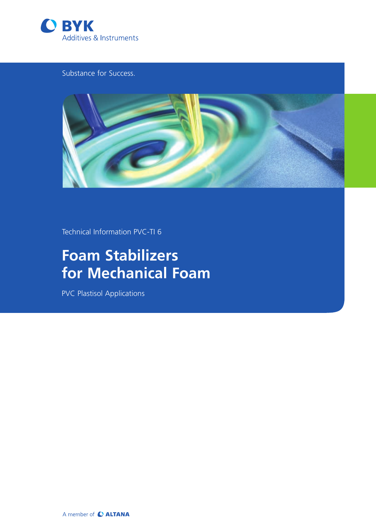

Substance for Success.



Technical Information PVC-TI 6

# **Foam Stabilizers for Mechanical Foam**

PVC Plastisol Applications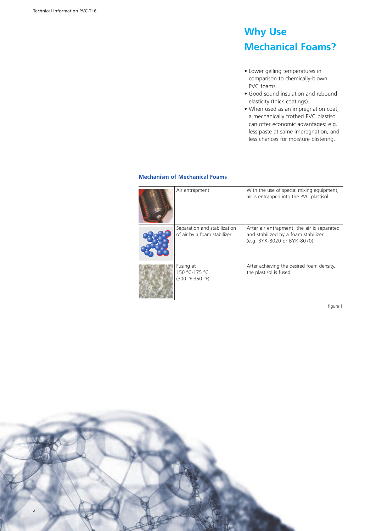## **Why Use Mechanical Foams?**

- • Lower gelling temperatures in comparison to chemically-blown PVC foams.
- Good sound insulation and rebound elasticity (thick coatings).
- When used as an impregnation coat, a mechanically frothed PVC plastisol can offer economic advantages: e.g. less paste at same impregnation, and less chances for moisture blistering.

### **Mechanism of Mechanical Foams**

| Air entrapment                                              | With the use of special mixing equipment,<br>air is entrapped into the PVC plastisol.                             |
|-------------------------------------------------------------|-------------------------------------------------------------------------------------------------------------------|
| Separation and stabilization<br>of air by a foam stabilizer | After air entrapment, the air is separated<br>and stabilized by a foam stabilizer<br>(e.g. BYK-8020 or BYK-8070). |
| Fusing at<br>150 °C-175 °C<br>(300 °F-350 °F)               | After achieving the desired foam density,<br>the plastisol is fused.                                              |

figure 1 and 1 and 1 and 1 and 1 and 1 and 1 and 1 and 1 and 1 and 1 and 1 and 1 and 1 and 1 and 1 and 1 and 1

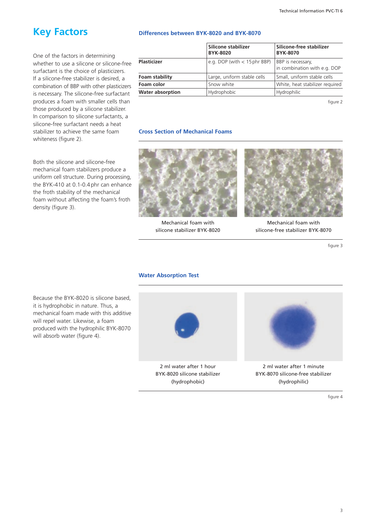### **Key Factors**

One of the factors in determining whether to use a silicone or silicone-free surfactant is the choice of plasticizers. If a silicone-free stabilizer is desired, a combination of BBP with other plasticizers is necessary. The silicone-free surfactant produces a foam with smaller cells than those produced by a silicone stabilizer. In comparison to silicone surfactants, a silicone-free surfactant needs a heat stabilizer to achieve the same foam whiteness (figure 2).

Both the silicone and silicone-free mechanical foam stabilizers produce a uniform cell structure. During processing, the BYK-410 at 0.1-0.4 phr can enhance the froth stability of the mechanical foam without affecting the foam's froth density (figure 3).

#### **Differences between BYK-8020 and BYK-8070**

|                         | Silicone stabilizer<br><b>BYK-8020</b> | Silicone-free stabilizer<br><b>BYK-8070</b>       |
|-------------------------|----------------------------------------|---------------------------------------------------|
| <b>Plasticizer</b>      | e.g. DOP (with $<$ 15 phr BBP)         | BBP is necessary,<br>in combination with e.g. DOP |
| Foam stability          | Large, uniform stable cells            | Small, uniform stable cells                       |
| Foam color              | Snow white                             | White, heat stabilizer required                   |
| <b>Water absorption</b> | Hydrophobic                            | Hydrophilic                                       |

figure 2  $\sim$  100  $\mu$  2  $\mu$  2  $\mu$  2  $\mu$  2  $\mu$  2  $\mu$  2  $\mu$  2  $\mu$  2  $\mu$  2  $\mu$  2  $\mu$  2  $\mu$  2  $\mu$  2  $\mu$  2  $\mu$  2  $\mu$  2  $\mu$  2  $\mu$  2  $\mu$  2  $\mu$  2  $\mu$  2  $\mu$  2  $\mu$  2  $\mu$  2  $\mu$  2  $\mu$  2  $\mu$  2  $\mu$  2  $\mu$  2

#### **Cross Section of Mechanical Foams**



Mechanical foam with silicone stabilizer BYK-8020

(hydrophobic)



Mechanical foam with silicone-free stabilizer BYK-8070

figure 3

#### **Water Absorption Test**

Because the BYK-8020 is silicone based, it is hydrophobic in nature. Thus, a mechanical foam made with this additive will repel water. Likewise, a foam produced with the hydrophilic BYK-8070 will absorb water (figure 4).



BYK-8070 silicone-free stabilizer (hydrophilic)

figure 4